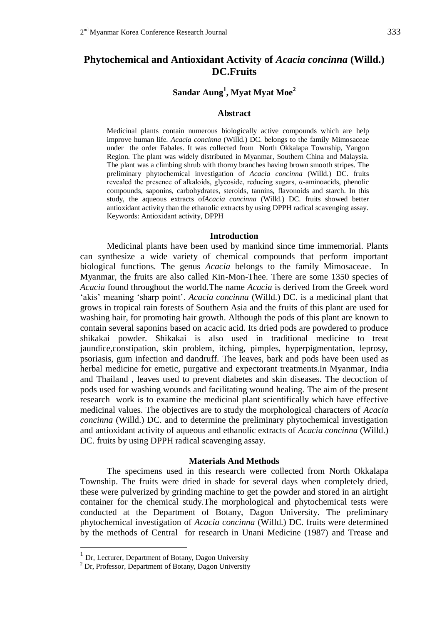## **Phytochemical and Antioxidant Activity of** *Acacia concinna* **(Willd.) DC.Fruits**

## **Sandar Aung<sup>1</sup> , Myat Myat Moe<sup>2</sup>**

#### **Abstract**

Medicinal plants contain numerous biologically active compounds which are help improve human life*. Acacia concinna* (Willd.) DC. belongs to the family Mimosaceae under the order Fabales. It was collected from North Okkalapa Township, Yangon Region. The plant was widely distributed in Myanmar, Southern China and Malaysia. The plant was a climbing shrub with thorny branches having brown smooth stripes. The preliminary phytochemical investigation of *Acacia concinna* (Willd.) DC. fruits revealed the presence of alkaloids, glycoside, reducing sugars, α-aminoacids, phenolic compounds, saponins, carbohydrates, steroids, tannins, flavonoids and starch. In this study, the aqueous extracts of*Acacia concinna* (Willd.) DC. fruits showed better antioxidant activity than the ethanolic extracts by using DPPH radical scavenging assay. Keywords: Antioxidant activity, DPPH

#### **Introduction**

Medicinal plants have been used by mankind since time immemorial. Plants can synthesize a wide variety of chemical compounds that perform important biological functions*.* The genus *Acacia* belongs to the family Mimosaceae. In Myanmar, the fruits are also called Kin-Mon-Thee. There are some 1350 species of *Acacia* found throughout the world.The name *Acacia* is derived from the Greek word 'akis' meaning 'sharp point'. *Acacia concinna* (Willd.) DC. is a medicinal plant that grows in tropical rain forests of Southern Asia and the fruits of this plant are used for washing hair, for promoting hair growth. Although the pods of this plant are known to contain several saponins based on acacic acid. Its dried pods are powdered to produce shikakai powder. Shikakai is also used in traditional medicine to treat jaundice,constipation, skin problem, itching, pimples, hyperpigmentation, leprosy, psoriasis, gum infection and dandruff. The leaves, bark and pods have been used as herbal medicine for emetic, purgative and expectorant treatments.In Myanmar, India and Thailand , leaves used to prevent diabetes and skin diseases. The decoction of pods used for washing wounds and facilitating wound healing. The aim of the present research work is to examine the medicinal plant scientifically which have effective medicinal values. The objectives are to study the morphological characters of *Acacia concinna* (Willd.) DC. and to determine the preliminary phytochemical investigation and antioxidant activity of aqueous and ethanolic extracts of *Acacia concinna* (Willd.) DC. fruits by using DPPH radical scavenging assay.

#### **Materials And Methods**

The specimens used in this research were collected from North Okkalapa Township. The fruits were dried in shade for several days when completely dried, these were pulverized by grinding machine to get the powder and stored in an airtight container for the chemical study.The morphological and phytochemical tests were conducted at the Department of Botany, Dagon University. The preliminary phytochemical investigation of *Acacia concinna* (Willd.) DC. fruits were determined by the methods of Central for research in Unani Medicine (1987) and Trease and

<u>.</u>

<sup>&</sup>lt;sup>1</sup> Dr, Lecturer, Department of Botany, Dagon University

 $2$  Dr, Professor, Department of Botany, Dagon University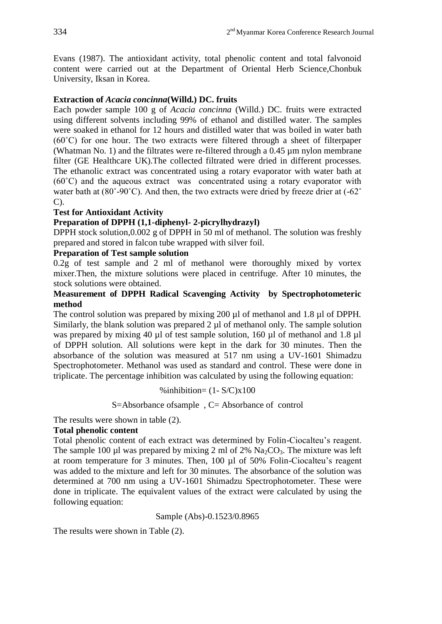Evans (1987). The antioxidant activity, total phenolic content and total falvonoid content were carried out at the Department of Oriental Herb Science,Chonbuk University, Iksan in Korea.

## **Extraction of** *Acacia concinna***(Willd.) DC. fruits**

Each powder sample 100 g of *Acacia concinna* (Willd.) DC. fruits were extracted using different solvents including 99% of ethanol and distilled water. The samples were soaked in ethanol for 12 hours and distilled water that was boiled in water bath  $(60^{\circ}$ C) for one hour. The two extracts were filtered through a sheet of filterpaper (Whatman No. 1) and the filtrates were re-filtered through a 0.45 µm nylon membrane filter (GE Healthcare UK).The collected filtrated were dried in different processes. The ethanolic extract was concentrated using a rotary evaporator with water bath at (60˚C) and the aqueous extract was concentrated using a rotary evaporator with water bath at (80°-90°C). And then, the two extracts were dried by freeze drier at (-62° C).

### **Test for Antioxidant Activity**

## **Preparation of DPPH (1,1-diphenyl- 2-picrylhydrazyl)**

DPPH stock solution,0.002 g of DPPH in 50 ml of methanol. The solution was freshly prepared and stored in falcon tube wrapped with silver foil.

## **Preparation of Test sample solution**

0.2g of test sample and 2 ml of methanol were thoroughly mixed by vortex mixer.Then, the mixture solutions were placed in centrifuge. After 10 minutes, the stock solutions were obtained.

## **Measurement of DPPH Radical Scavenging Activity by Spectrophotometeric method**

The control solution was prepared by mixing 200 µl of methanol and 1.8 µl of DPPH. Similarly, the blank solution was prepared 2 µl of methanol only. The sample solution was prepared by mixing 40 µl of test sample solution, 160 µl of methanol and 1.8 µl of DPPH solution. All solutions were kept in the dark for 30 minutes. Then the absorbance of the solution was measured at 517 nm using a UV-1601 Shimadzu Spectrophotometer. Methanol was used as standard and control. These were done in triplicate. The percentage inhibition was calculated by using the following equation:

%inhibition= $(1 - S/C)x100$ 

### S=Absorbance ofsample , C= Absorbance of control

The results were shown in table (2).

### **Total phenolic content**

Total phenolic content of each extract was determined by Folin-Ciocalteu's reagent. The sample 100 µl was prepared by mixing 2 ml of 2%  $Na_2CO_3$ . The mixture was left at room temperature for 3 minutes. Then, 100 µl of 50% Folin-Ciocalteu's reagent was added to the mixture and left for 30 minutes. The absorbance of the solution was determined at 700 nm using a UV-1601 Shimadzu Spectrophotometer. These were done in triplicate. The equivalent values of the extract were calculated by using the following equation:

Sample (Abs)-0.1523/0.8965

The results were shown in Table (2).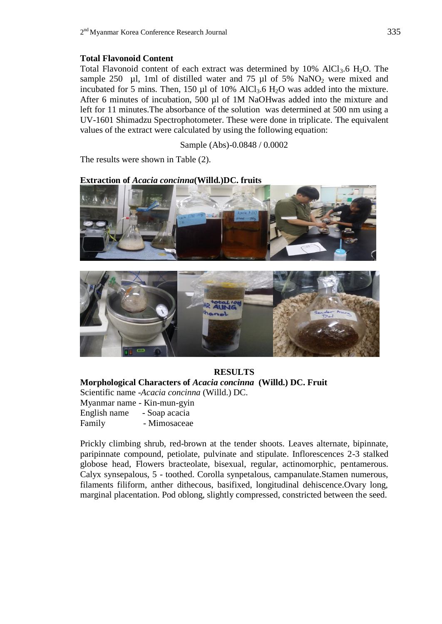## **Total Flavonoid Content**

Total Flavonoid content of each extract was determined by  $10\%$  AlCl<sub>3</sub>.6 H<sub>2</sub>O. The sample 250  $\mu$ l, 1ml of distilled water and 75  $\mu$ l of 5% NaNO<sub>2</sub> were mixed and incubated for 5 mins. Then, 150 µl of 10% AlCl<sub>3</sub>.6 H<sub>2</sub>O was added into the mixture. After 6 minutes of incubation, 500 µl of 1M NaOHwas added into the mixture and left for 11 minutes.The absorbance of the solution was determined at 500 nm using a UV-1601 Shimadzu Spectrophotometer. These were done in triplicate. The equivalent values of the extract were calculated by using the following equation:

Sample (Abs)-0.0848 / 0.0002

The results were shown in Table (2).

## **Extraction of** *Acacia concinna***(Willd.)DC. fruits**





# **RESULTS**

**Morphological Characters of** *Acacia concinna* **(Willd.) DC. Fruit** Scientific name -*Acacia concinna* (Willd.) DC.

Myanmar name - Kin-mun-gyin English name - Soap acacia

Family - Mimosaceae

Prickly climbing shrub, red-brown at the tender shoots. Leaves alternate, bipinnate, paripinnate compound, petiolate, pulvinate and stipulate. Inflorescences 2-3 stalked globose head, Flowers bracteolate, bisexual, regular, actinomorphic, pentamerous. Calyx synsepalous, 5 - toothed. Corolla synpetalous, campanulate.Stamen numerous, filaments filiform, anther dithecous, basifixed, longitudinal dehiscence.Ovary long, marginal placentation. Pod oblong, slightly compressed, constricted between the seed.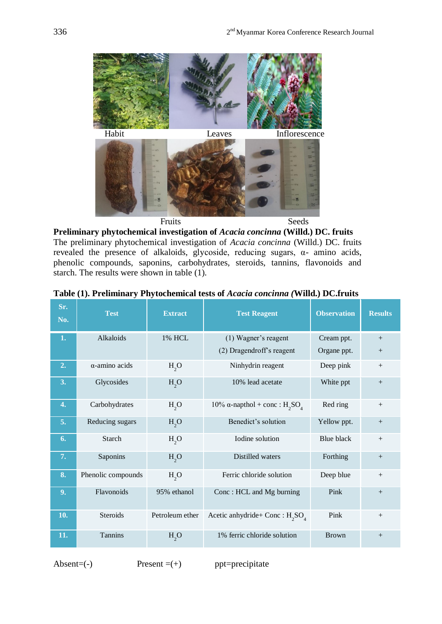

**Preliminary phytochemical investigation of** *Acacia concinna* **(Willd.) DC. fruits** The preliminary phytochemical investigation of *Acacia concinna* (Willd.) DC. fruits revealed the presence of alkaloids, glycoside, reducing sugars, α- amino acids, phenolic compounds, saponins, carbohydrates, steroids, tannins, flavonoids and starch. The results were shown in table (1).

| Sr.<br>No. | <b>Test</b>        | <b>Extract</b>   | <b>Test Reagent</b>                | <b>Observation</b> | <b>Results</b> |
|------------|--------------------|------------------|------------------------------------|--------------------|----------------|
| 1.         | Alkaloids          | <b>1% HCL</b>    | (1) Wagner's reagent               | Cream ppt.         | $+$            |
|            |                    |                  | (2) Dragendroff's reagent          | Organe ppt.        | $+$            |
| 2.         | α-amino acids      | H <sub>2</sub> O | Ninhydrin reagent                  | Deep pink          | $^{+}$         |
| 3.         | Glycosides         | H <sub>2</sub> O | 10% lead acetate                   | White ppt          | $^{+}$         |
| 4.         | Carbohydrates      | H <sub>2</sub> O | 10% α-napthol + conc : $H_2SO_4$   | Red ring           | $+$            |
| 5.         | Reducing sugars    | H <sub>2</sub> O | Benedict's solution                | Yellow ppt.        | $+$            |
| 6.         | Starch             | H <sub>2</sub> O | Iodine solution                    | <b>Blue black</b>  |                |
| 7.         | Saponins           | H <sub>2</sub> O | Distilled waters                   | Forthing           | $+$            |
| 8.         | Phenolic compounds | H <sub>2</sub> O | Ferric chloride solution           | Deep blue          | $+$            |
| 9.         | Flavonoids         | 95% ethanol      | Conc: HCL and Mg burning           | Pink               | $+$            |
| 10.        | Steroids           | Petroleum ether  | Acetic anhydride+ Conc : $H_2SO_4$ | Pink               | $+$            |
| 11.        | Tannins            | H <sub>2</sub> O | 1% ferric chloride solution        | <b>Brown</b>       | $^{+}$         |

|  |  |  |  |  | Table (1). Preliminary Phytochemical tests of Acacia concinna (Willd.) DC.fruits |  |
|--|--|--|--|--|----------------------------------------------------------------------------------|--|
|--|--|--|--|--|----------------------------------------------------------------------------------|--|

Absent= $(-)$  Present = $(+)$  ppt=precipitate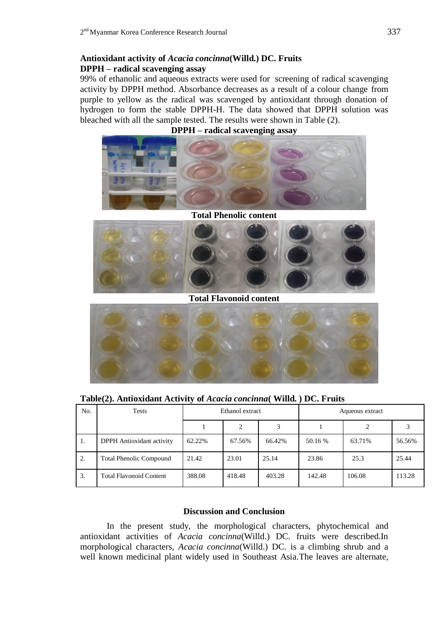## **Antioxidant activity of** *Acacia concinna***(Willd.) DC. Fruits DPPH – radical scavenging assay**

99% of ethanolic and aqueous extracts were used for screening of radical scavenging activity by DPPH method. Absorbance decreases as a result of a colour change from purple to yellow as the radical was scavenged by antioxidant through donation of hydrogen to form the stable DPPH-H. The data showed that DPPH solution was bleached with all the sample tested. The results were shown in Table (2).





**Total Phenolic content**



**Total Flavonoid content**



**Table(2). Antioxidant Activity of** *Acacia concinna***( Willd. ) DC. Fruits**

| No. | Tests                            | Ethanol extract |        |        | Aqueous extract |        |        |
|-----|----------------------------------|-----------------|--------|--------|-----------------|--------|--------|
|     |                                  |                 |        |        |                 |        |        |
| 1.  | <b>DPPH</b> Antioxidant activity | 62.22%          | 67.56% | 66.42% | 50.16 %         | 63.71% | 56.56% |
| 2.  | <b>Total Phenolic Compound</b>   | 21.42           | 23.01  | 25.14  | 23.86           | 25.3   | 25.44  |
| 3.  | <b>Total Flavonoid Content</b>   | 388.08          | 418.48 | 403.28 | 142.48          | 106.08 | 113.28 |

### **Discussion and Conclusion**

In the present study, the morphological characters, phytochemical and antioxidant activities of *Acacia concinna*(Willd.) DC. fruits were described.In morphological characters, *Acacia concinna*(Willd.) DC. is a climbing shrub and a well known medicinal plant widely used in Southeast Asia.The leaves are alternate,